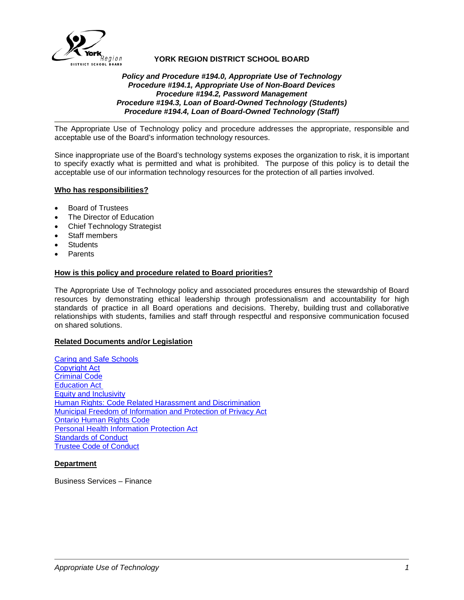

# **YORK REGION DISTRICT SCHOOL BOARD**

## *Policy and Procedure #194.0, Appropriate Use of Technology Procedure #194.1, Appropriate Use of Non-Board Devices Procedure #194.2, Password Management Procedure #194.3, Loan of Board-Owned Technology (Students) Procedure #194.4, Loan of Board-Owned Technology (Staff)*

The Appropriate Use of Technology policy and procedure addresses the appropriate, responsible and acceptable use of the Board's information technology resources.

Since inappropriate use of the Board's technology systems exposes the organization to risk, it is important to specify exactly what is permitted and what is prohibited. The purpose of this policy is to detail the acceptable use of our information technology resources for the protection of all parties involved.

## **Who has responsibilities?**

- Board of Trustees
- The Director of Education
- Chief Technology Strategist
- Staff members
- **Students**
- **Parents**

## **How is this policy and procedure related to Board priorities?**

The Appropriate Use of Technology policy and associated procedures ensures the stewardship of Board resources by demonstrating ethical leadership through professionalism and accountability for high standards of practice in all Board operations and decisions. Thereby, building trust and collaborative relationships with students, families and staff through respectful and responsive communication focused on shared solutions.

#### **Related Documents and/or Legislation**

[Caring and Safe Schools](http://www.yrdsb.ca/boarddocs/Documents/PP-review-safecaringandsupportiveschools-668.pdf) [Copyright Act](http://laws-lois.justice.gc.ca/eng/acts/c-42/) [Criminal Code](http://laws-lois.justice.gc.ca/eng/acts/C-46/) [Education Act](http://www.ontario.ca/laws/statute/90e02#BK123) [Equity and Inclusivity](http://www.yrdsb.ca/boarddocs/Documents/POL-equityandinclusiveeducation-261.pdf) **Human Rights: Code Related Harassment and Discrimination** [Municipal Freedom of Information and Protection of Privacy Act](http://www.ontario.ca/laws/statute/90m56) [Ontario Human Rights Code](http://www.ontario.ca/laws/statute/90h19) [Personal Health Information Protection Act](http://www.ontario.ca/laws/statute/04p03) [Standards of Conduct](https://bww.yrdsb.ca/boarddocs/Pages/Standards-of-Conduct.aspx) [Trustee Code of Conduct](https://bww.yrdsb.ca/boarddocs/Documents/By-Laws.pdf)

#### **Department**

Business Services – Finance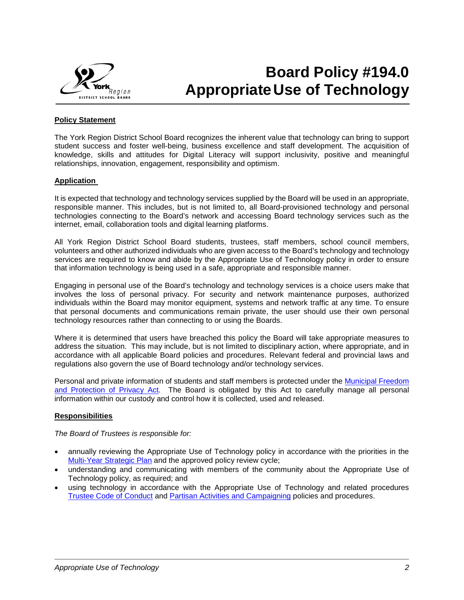

# **Board Policy #194.0 AppropriateUse of Technology**

# **Policy Statement**

The York Region District School Board recognizes the inherent value that technology can bring to support student success and foster well-being, business excellence and staff development. The acquisition of knowledge, skills and attitudes for Digital Literacy will support inclusivity, positive and meaningful relationships, innovation, engagement, responsibility and optimism.

## **Application**

It is expected that technology and technology services supplied by the Board will be used in an appropriate, responsible manner. This includes, but is not limited to, all Board-provisioned technology and personal technologies connecting to the Board's network and accessing Board technology services such as the internet, email, collaboration tools and digital learning platforms.

All York Region District School Board students, trustees, staff members, school council members, volunteers and other authorized individuals who are given access to the Board's technology and technology services are required to know and abide by the Appropriate Use of Technology policy in order to ensure that information technology is being used in a safe, appropriate and responsible manner.

Engaging in personal use of the Board's technology and technology services is a choice users make that involves the loss of personal privacy. For security and network maintenance purposes, authorized individuals within the Board may monitor equipment, systems and network traffic at any time. To ensure that personal documents and communications remain private, the user should use their own personal technology resources rather than connecting to or using the Boards.

Where it is determined that users have breached this policy the Board will take appropriate measures to address the situation. This may include, but is not limited to disciplinary action, where appropriate, and in accordance with all applicable Board policies and procedures. Relevant federal and provincial laws and regulations also govern the use of Board technology and/or technology services.

Personal and private information of students and staff members is protected under the [Municipal Freedom](http://www.ontario.ca/laws/statute/90m56)  [and Protection of Privacy Act.](http://www.ontario.ca/laws/statute/90m56) The Board is obligated by this Act to carefully manage all personal information within our custody and control how it is collected, used and released.

# **Responsibilities**

*The Board of Trustees is responsible for:*

- annually reviewing the Appropriate Use of Technology policy in accordance with the priorities in the [Multi-Year Strategic Plan](http://www.yrdsb.ca/AboutUs/BoardPlans/Pages/default.aspx) and the approved policy review cycle;
- understanding and communicating with members of the community about the Appropriate Use of Technology policy, as required; and
- using technology in accordance with the Appropriate Use of Technology and related procedures [Trustee Code of Conduct](https://bww.yrdsb.ca/boarddocs/Documents/By-Laws.pdf) and [Partisan Activities and Campaigning](http://www.yrdsb.ca/boarddocs/Documents/PP-partisanactivitiesandcampaigning-275.pdf) policies and procedures.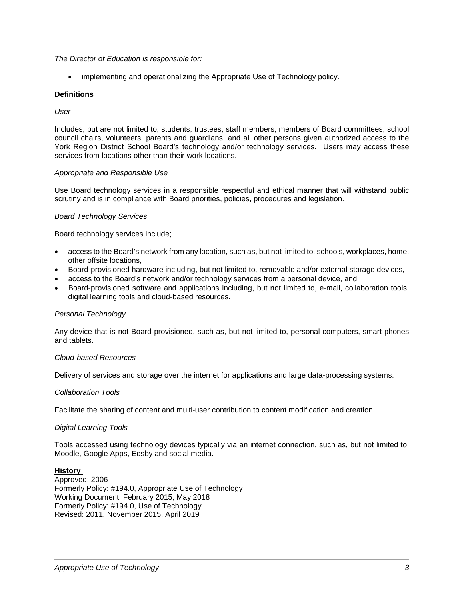## *The Director of Education is responsible for:*

• implementing and operationalizing the Appropriate Use of Technology policy.

## **Definitions**

### *User*

Includes, but are not limited to, students, trustees, staff members, members of Board committees, school council chairs, volunteers, parents and guardians, and all other persons given authorized access to the York Region District School Board's technology and/or technology services. Users may access these services from locations other than their work locations.

## *Appropriate and Responsible Use*

Use Board technology services in a responsible respectful and ethical manner that will withstand public scrutiny and is in compliance with Board priorities, policies, procedures and legislation.

## *Board Technology Services*

Board technology services include;

- access to the Board's network from any location, such as, but not limited to, schools, workplaces, home, other offsite locations,
- Board-provisioned hardware including, but not limited to, removable and/or external storage devices,
- access to the Board's network and/or technology services from a personal device, and
- Board-provisioned software and applications including, but not limited to, e-mail, collaboration tools, digital learning tools and cloud-based resources.

#### *Personal Technology*

Any device that is not Board provisioned, such as, but not limited to, personal computers, smart phones and tablets.

#### *Cloud-based Resources*

Delivery of services and storage over the internet for applications and large data-processing systems.

#### *Collaboration Tools*

Facilitate the sharing of content and multi-user contribution to content modification and creation.

# *Digital Learning Tools*

Tools accessed using technology devices typically via an internet connection, such as, but not limited to, Moodle, Google Apps, Edsby and social media.

## **History**

Approved: 2006 Formerly Policy: #194.0, Appropriate Use of Technology Working Document: February 2015, May 2018 Formerly Policy: #194.0, Use of Technology Revised: 2011, November 2015, April 2019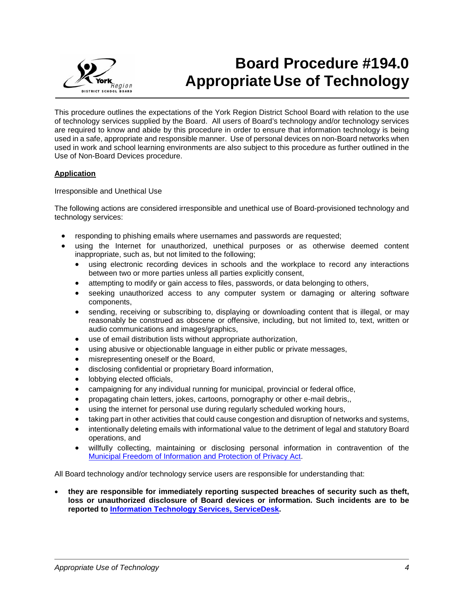

# **Board Procedure #194.0 AppropriateUse of Technology**

This procedure outlines the expectations of the York Region District School Board with relation to the use of technology services supplied by the Board. All users of Board's technology and/or technology services are required to know and abide by this procedure in order to ensure that information technology is being used in a safe, appropriate and responsible manner. Use of personal devices on non-Board networks when used in work and school learning environments are also subject to this procedure as further outlined in the Use of Non-Board Devices procedure.

# **Application**

## Irresponsible and Unethical Use

The following actions are considered irresponsible and unethical use of Board-provisioned technology and technology services:

- responding to phishing emails where usernames and passwords are requested;
- using the Internet for unauthorized, unethical purposes or as otherwise deemed content inappropriate, such as, but not limited to the following;
	- using electronic recording devices in schools and the workplace to record any interactions between two or more parties unless all parties explicitly consent,
	- attempting to modify or gain access to files, passwords, or data belonging to others,
	- seeking unauthorized access to any computer system or damaging or altering software components,
	- sending, receiving or subscribing to, displaying or downloading content that is illegal, or may reasonably be construed as obscene or offensive, including, but not limited to, text, written or audio communications and images/graphics,
	- use of email distribution lists without appropriate authorization,
	- using abusive or objectionable language in either public or private messages,
	- misrepresenting oneself or the Board,
	- disclosing confidential or proprietary Board information,
	- lobbying elected officials,
	- campaigning for any individual running for municipal, provincial or federal office,
	- propagating chain letters, jokes, cartoons, pornography or other e-mail debris,,
	- using the internet for personal use during regularly scheduled working hours,
	- taking part in other activities that could cause congestion and disruption of networks and systems,
	- intentionally deleting emails with informational value to the detriment of legal and statutory Board operations, and
	- willfully collecting, maintaining or disclosing personal information in contravention of the [Municipal Freedom of Information and Protection of Privacy Act.](http://www.ontario.ca/laws/statute/90m56)

All Board technology and/or technology service users are responsible for understanding that:

• **they are responsible for immediately reporting suspected breaches of security such as theft, loss or unauthorized disclosure of Board devices or information. Such incidents are to be reported to [Information Technology Services, ServiceDesk.](https://bww.yrdsb.ca/help/Pages/ServiceDesk.aspx)**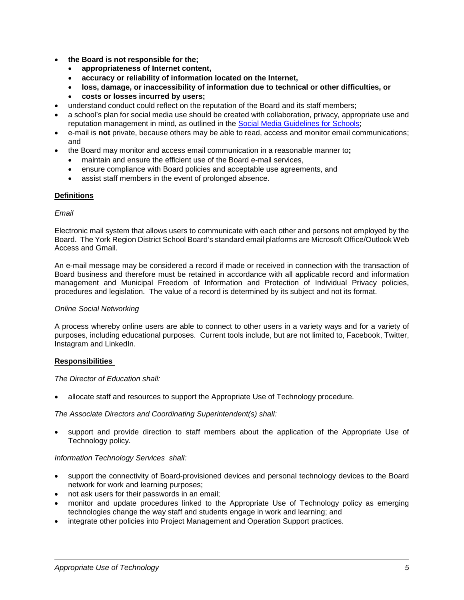- **the Board is not responsible for the;**
	- **appropriateness of Internet content,**
	- **accuracy or reliability of information located on the Internet,**
	- **loss, damage, or inaccessibility of information due to technical or other difficulties, or**
	- **costs or losses incurred by users;**
- understand conduct could reflect on the reputation of the Board and its staff members;
- a school's plan for social media use should be created with collaboration, privacy, appropriate use and reputation management in mind, as outlined in the [Social Media Guidelines for](https://bww.yrdsb.ca/services/pacs/Documents/Social%20Media/SocialMediaGuidelinesForSchools.pdf) Schools;
- e-mail is **not** private, because others may be able to read, access and monitor email communications; and
- the Board may monitor and access email communication in a reasonable manner to**;**
	- maintain and ensure the efficient use of the Board e-mail services,
	- ensure compliance with Board policies and acceptable use agreements, and
	- assist staff members in the event of prolonged absence.

## **Definitions**

#### *Email*

Electronic mail system that allows users to communicate with each other and persons not employed by the Board. The York Region District School Board's standard email platforms are Microsoft Office/Outlook Web Access and Gmail.

An e-mail message may be considered a record if made or received in connection with the transaction of Board business and therefore must be retained in accordance with all applicable record and information management and Municipal Freedom of Information and Protection of Individual Privacy policies, procedures and legislation. The value of a record is determined by its subject and not its format.

#### *Online Social Networking*

A process whereby online users are able to connect to other users in a variety ways and for a variety of purposes, including educational purposes. Current tools include, but are not limited to, Facebook, Twitter, Instagram and LinkedIn.

#### **Responsibilities**

## *The Director of Education shall:*

• allocate staff and resources to support the Appropriate Use of Technology procedure.

#### *The Associate Directors and Coordinating Superintendent(s) shall:*

• support and provide direction to staff members about the application of the Appropriate Use of Technology policy.

# *Information Technology Services shall:*

- support the connectivity of Board-provisioned devices and personal technology devices to the Board network for work and learning purposes;
- not ask users for their passwords in an email;
- monitor and update procedures linked to the Appropriate Use of Technology policy as emerging technologies change the way staff and students engage in work and learning; and
- integrate other policies into Project Management and Operation Support practices.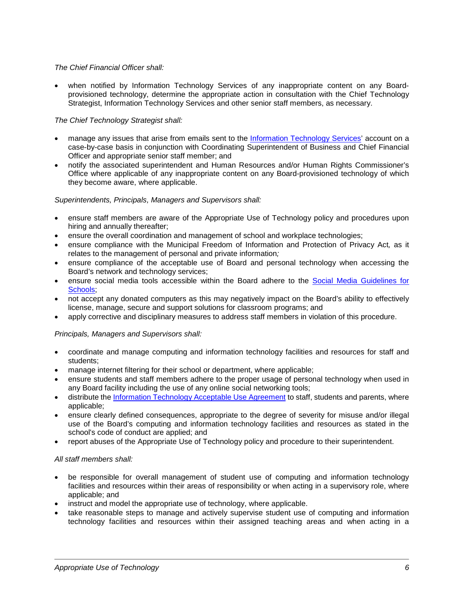## *The Chief Financial Officer shall:*

• when notified by Information Technology Services of any inappropriate content on any Boardprovisioned technology, determine the appropriate action in consultation with the Chief Technology Strategist, Information Technology Services and other senior staff members, as necessary.

# *The Chief Technology Strategist shall:*

- manage any issues that arise from emails sent to the [Information Technology Services'](mailto:ITservices@yrdsb.ca) account on a case-by-case basis in conjunction with Coordinating Superintendent of Business and Chief Financial Officer and appropriate senior staff member; and
- notify the associated superintendent and Human Resources and/or Human Rights Commissioner's Office where applicable of any inappropriate content on any Board-provisioned technology of which they become aware, where applicable.

## *Superintendents, Principals, Managers and Supervisors shall:*

- ensure staff members are aware of the Appropriate Use of Technology policy and procedures upon hiring and annually thereafter;
- ensure the overall coordination and management of school and workplace technologies;
- ensure compliance with the Municipal Freedom of Information and Protection of Privacy Act*,* as it relates to the management of personal and private information*;*
- ensure compliance of the acceptable use of Board and personal technology when accessing the Board's network and technology services;
- ensure social media tools accessible within the Board adhere to the [Social Media Guidelines for](https://bww.yrdsb.ca/services/pacs/Documents/Social%20Media/SocialMediaGuidelinesForSchools.pdf)  [Schools;](https://bww.yrdsb.ca/services/pacs/Documents/Social%20Media/SocialMediaGuidelinesForSchools.pdf)
- not accept any donated computers as this may negatively impact on the Board's ability to effectively license, manage, secure and support solutions for classroom programs; and
- apply corrective and disciplinary measures to address staff members in violation of this procedure.

# *Principals, Managers and Supervisors shall:*

- coordinate and manage computing and information technology facilities and resources for staff and students;
- manage internet filtering for their school or department, where applicable;
- ensure students and staff members adhere to the proper usage of personal technology when used in any Board facility including the use of any online social networking tools;
- distribute the [Information Technology Acceptable Use Agreement](http://www.yrdsb.ca/Programs/SafeSchools/Documents/InformationTechnology-AUAgreement.pdf) to staff, students and parents, where applicable;
- ensure clearly defined consequences, appropriate to the degree of severity for misuse and/or illegal use of the Board's computing and information technology facilities and resources as stated in the school's code of conduct are applied; and
- report abuses of the Appropriate Use of Technology policy and procedure to their superintendent.

# *All staff members shall:*

- be responsible for overall management of student use of computing and information technology facilities and resources within their areas of responsibility or when acting in a supervisory role, where applicable; and
- instruct and model the appropriate use of technology, where applicable.
- take reasonable steps to manage and actively supervise student use of computing and information technology facilities and resources within their assigned teaching areas and when acting in a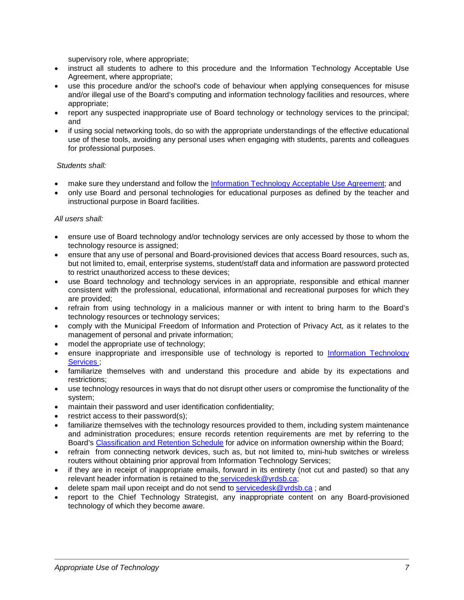supervisory role, where appropriate;

- instruct all students to adhere to this procedure and the Information Technology Acceptable Use Agreement, where appropriate;
- use this procedure and/or the school's code of behaviour when applying consequences for misuse and/or illegal use of the Board's computing and information technology facilities and resources, where appropriate;
- report any suspected inappropriate use of Board technology or technology services to the principal; and
- if using social networking tools, do so with the appropriate understandings of the effective educational use of these tools, avoiding any personal uses when engaging with students, parents and colleagues for professional purposes.

## *Students shall:*

- make sure they understand and follow the [Information Technology Acceptable Use Agreement;](http://www.yrdsb.ca/Programs/SafeSchools/Documents/InformationTechnology-AUAgreement.pdf) and
- only use Board and personal technologies for educational purposes as defined by the teacher and instructional purpose in Board facilities.

## *All users shall:*

- ensure use of Board technology and/or technology services are only accessed by those to whom the technology resource is assigned;
- ensure that any use of personal and Board-provisioned devices that access Board resources, such as, but not limited to, email, enterprise systems, student/staff data and information are password protected to restrict unauthorized access to these devices;
- use Board technology and technology services in an appropriate, responsible and ethical manner consistent with the professional, educational, informational and recreational purposes for which they are provided;
- refrain from using technology in a malicious manner or with intent to bring harm to the Board's technology resources or technology services;
- comply with the Municipal Freedom of Information and Protection of Privacy Act*,* as it relates to the management of personal and private information;
- model the appropriate use of technology:
- ensure inappropriate and irresponsible use of technology is reported to [Information Technology](mailto:information.technology.services@yrdsb.ca)  [Services](mailto:information.technology.services@yrdsb.ca) ;
- familiarize themselves with and understand this procedure and abide by its expectations and restrictions;
- use technology resources in ways that do not disrupt other users or compromise the functionality of the system;
- maintain their password and user identification confidentiality;
- restrict access to their password(s);
- familiarize themselves with the technology resources provided to them, including system maintenance and administration procedures; ensure records retention requirements are met by referring to the Board's Classification [and Retention Schedule](https://bww.yrdsb.ca/boarddocs/Documents/SD-classificationandretentionschedule-alphaorder.pdf) for advice on information ownership within the Board;
- refrain from connecting network devices, such as, but not limited to, mini-hub switches or wireless routers without obtaining prior approval from Information Technology Services;
- if they are in receipt of inappropriate emails, forward in its entirety (not cut and pasted) so that any relevant header information is retained to the [servicedesk@yrdsb.ca;](mailto:servicedesk@yrdsb.ca)
- delete spam mail upon receipt and do not send to servicedesk@yrdsb.ca; and
- report to the Chief Technology Strategist, any inappropriate content on any Board-provisioned technology of which they become aware.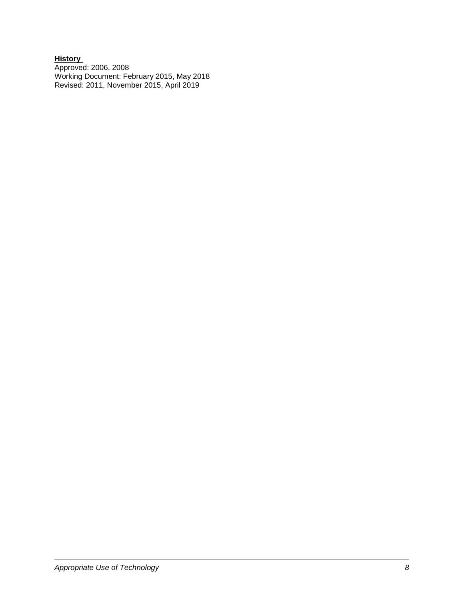### **History**  Approved: 2006, 2008 Working Document: February 2015, May 2018 Revised: 2011, November 2015, April 2019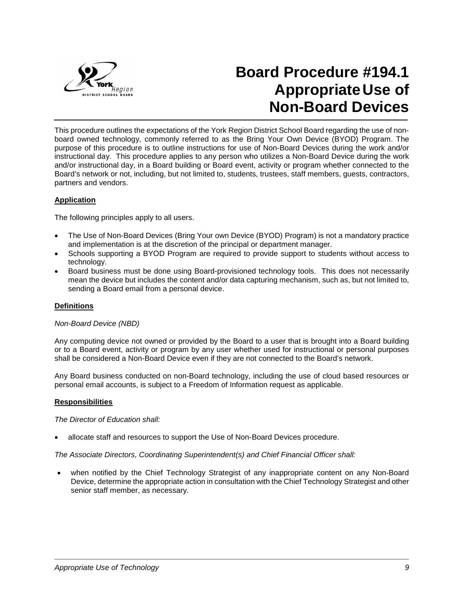

# **Board Procedure #194.1 AppropriateUse of Non-Board Devices**

This procedure outlines the expectations of the York Region District School Board regarding the use of nonboard owned technology, commonly referred to as the Bring Your Own Device (BYOD) Program. The purpose of this procedure is to outline instructions for use of Non-Board Devices during the work and/or instructional day. This procedure applies to any person who utilizes a Non-Board Device during the work and/or instructional day, in a Board building or Board event, activity or program whether connected to the Board's network or not, including, but not limited to, students, trustees, staff members, guests, contractors, partners and vendors.

# **Application**

The following principles apply to all users.

- The Use of Non-Board Devices (Bring Your own Device (BYOD) Program) is not a mandatory practice and implementation is at the discretion of the principal or department manager.
- Schools supporting a BYOD Program are required to provide support to students without access to technology.
- Board business must be done using Board-provisioned technology tools. This does not necessarily mean the device but includes the content and/or data capturing mechanism, such as, but not limited to, sending a Board email from a personal device.

#### **Definitions**

#### *Non-Board Device (NBD)*

Any computing device not owned or provided by the Board to a user that is brought into a Board building or to a Board event, activity or program by any user whether used for instructional or personal purposes shall be considered a Non-Board Device even if they are not connected to the Board's network.

Any Board business conducted on non-Board technology, including the use of cloud based resources or personal email accounts, is subject to a Freedom of Information request as applicable.

#### **Responsibilities**

*The Director of Education shall:*

allocate staff and resources to support the Use of Non-Board Devices procedure.

*The Associate Directors, Coordinating Superintendent(s) and Chief Financial Officer shall:*

• when notified by the Chief Technology Strategist of any inappropriate content on any Non-Board Device, determine the appropriate action in consultation with the Chief Technology Strategist and other senior staff member, as necessary.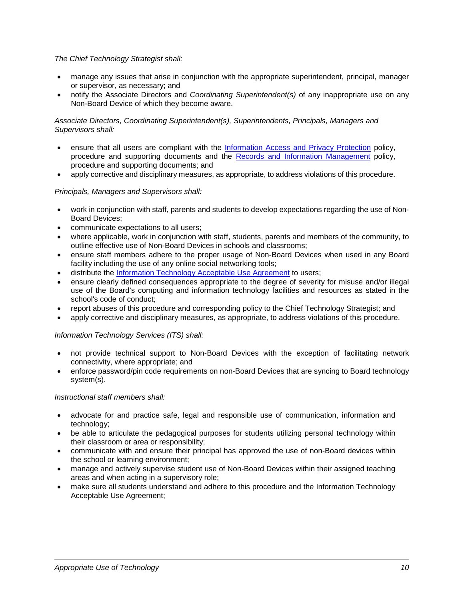# *The Chief Technology Strategist shall:*

- manage any issues that arise in conjunction with the appropriate superintendent, principal, manager or supervisor, as necessary; and
- notify the Associate Directors and *Coordinating Superintendent(s)* of any inappropriate use on any Non-Board Device of which they become aware.

## *Associate Directors, Coordinating Superintendent(s), Superintendents, Principals, Managers and Supervisors shall:*

- ensure that all users are compliant with the [Information Access and Privacy Protection](http://www.yrdsb.ca/boarddocs/Documents/PP-infoaccessandprivacy-158.pdf) policy, procedure and supporting documents and the [Records and Information Management](http://www.yrdsb.ca/boarddocs/Documents/PP-recordsandinformationmanagement-160.pdf) policy, procedure and supporting documents; and
- apply corrective and disciplinary measures, as appropriate, to address violations of this procedure.

## *Principals, Managers and Supervisors shall:*

- work in conjunction with staff, parents and students to develop expectations regarding the use of Non-Board Devices;
- communicate expectations to all users;
- where applicable, work in conjunction with staff, students, parents and members of the community, to outline effective use of Non-Board Devices in schools and classrooms;
- ensure staff members adhere to the proper usage of Non-Board Devices when used in any Board facility including the use of any online social networking tools;
- distribute the [Information Technology Acceptable Use Agreement](http://www.yrdsb.ca/Programs/SafeSchools/Documents/InformationTechnology-AUAgreement.pdf) to users;
- ensure clearly defined consequences appropriate to the degree of severity for misuse and/or illegal use of the Board's computing and information technology facilities and resources as stated in the school's code of conduct;
- report abuses of this procedure and corresponding policy to the Chief Technology Strategist; and
- apply corrective and disciplinary measures, as appropriate, to address violations of this procedure.

#### *Information Technology Services (ITS) shall:*

- not provide technical support to Non-Board Devices with the exception of facilitating network connectivity, where appropriate; and
- enforce password/pin code requirements on non-Board Devices that are syncing to Board technology system(s).

#### *Instructional staff members shall:*

- advocate for and practice safe, legal and responsible use of communication, information and technology;
- be able to articulate the pedagogical purposes for students utilizing personal technology within their classroom or area or responsibility;
- communicate with and ensure their principal has approved the use of non-Board devices within the school or learning environment;
- manage and actively supervise student use of Non-Board Devices within their assigned teaching areas and when acting in a supervisory role;
- make sure all students understand and adhere to this procedure and the Information Technology Acceptable Use Agreement;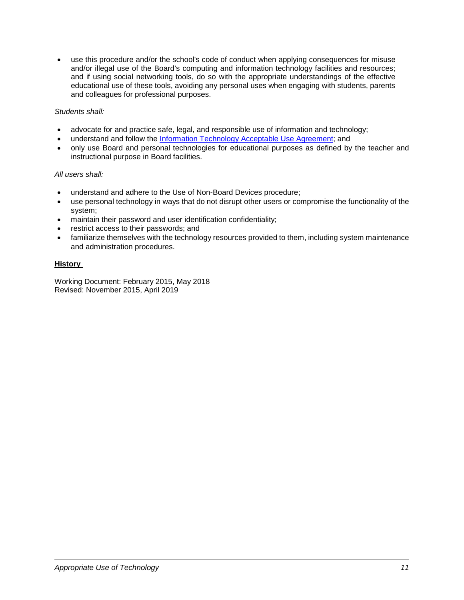• use this procedure and/or the school's code of conduct when applying consequences for misuse and/or illegal use of the Board's computing and information technology facilities and resources; and if using social networking tools, do so with the appropriate understandings of the effective educational use of these tools, avoiding any personal uses when engaging with students, parents and colleagues for professional purposes.

# *Students shall:*

- advocate for and practice safe, legal, and responsible use of information and technology;
- understand and follow the [Information Technology Acceptable Use Agreement;](http://www.yrdsb.ca/Programs/SafeSchools/Documents/InformationTechnology-AUAgreement.pdf) and
- only use Board and personal technologies for educational purposes as defined by the teacher and instructional purpose in Board facilities.

# *All users shall:*

- understand and adhere to the Use of Non-Board Devices procedure;
- use personal technology in ways that do not disrupt other users or compromise the functionality of the system;
- maintain their password and user identification confidentiality;
- restrict access to their passwords; and
- familiarize themselves with the technology resources provided to them, including system maintenance and administration procedures.

# **History**

Working Document: February 2015, May 2018 Revised: November 2015, April 2019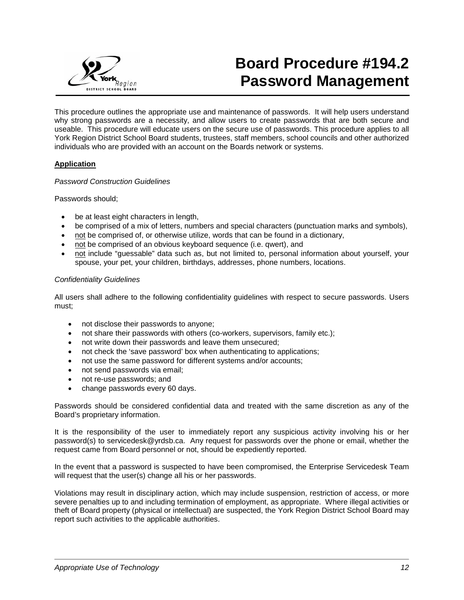

# **Board Procedure #194.2 Password Management**

This procedure outlines the appropriate use and maintenance of passwords. It will help users understand why strong passwords are a necessity, and allow users to create passwords that are both secure and useable. This procedure will educate users on the secure use of passwords. This procedure applies to all York Region District School Board students, trustees, staff members, school councils and other authorized individuals who are provided with an account on the Boards network or systems.

# **Application**

## *Password Construction Guidelines*

Passwords should;

- be at least eight characters in length,
- be comprised of a mix of letters, numbers and special characters (punctuation marks and symbols),
- not be comprised of, or otherwise utilize, words that can be found in a dictionary,
- not be comprised of an obvious keyboard sequence (i.e. qwert), and
- not include "guessable" data such as, but not limited to, personal information about yourself, your spouse, your pet, your children, birthdays, addresses, phone numbers, locations.

## *Confidentiality Guidelines*

All users shall adhere to the following confidentiality guidelines with respect to secure passwords. Users must;

- not disclose their passwords to anyone;
- not share their passwords with others (co-workers, supervisors, family etc.);
- not write down their passwords and leave them unsecured;
- not check the 'save password' box when authenticating to applications;
- not use the same password for different systems and/or accounts;
- not send passwords via email:
- not re-use passwords; and
- change passwords every 60 days.

Passwords should be considered confidential data and treated with the same discretion as any of the Board's proprietary information.

It is the responsibility of the user to immediately report any suspicious activity involving his or her password(s) to servicedesk@yrdsb.ca. Any request for passwords over the phone or email, whether the request came from Board personnel or not, should be expediently reported.

In the event that a password is suspected to have been compromised, the Enterprise Servicedesk Team will request that the user(s) change all his or her passwords.

Violations may result in disciplinary action, which may include suspension, restriction of access, or more severe penalties up to and including termination of employment, as appropriate. Where illegal activities or theft of Board property (physical or intellectual) are suspected, the York Region District School Board may report such activities to the applicable authorities.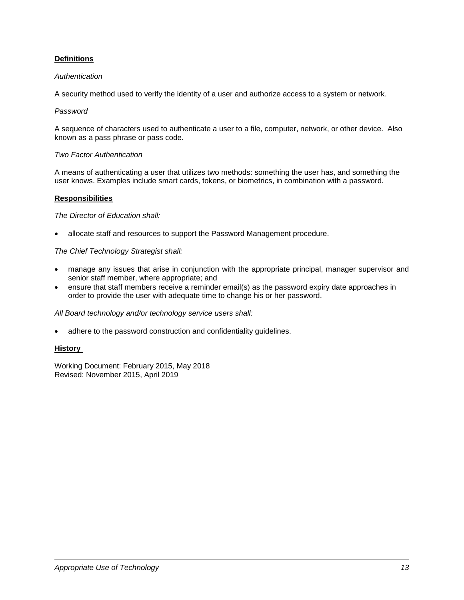# **Definitions**

## *Authentication*

A security method used to verify the identity of a user and authorize access to a system or network.

## *Password*

A sequence of characters used to authenticate a user to a file, computer, network, or other device. Also known as a pass phrase or pass code.

## *Two Factor Authentication*

A means of authenticating a user that utilizes two methods: something the user has, and something the user knows. Examples include smart cards, tokens, or biometrics, in combination with a password.

## **Responsibilities**

*The Director of Education shall:*

• allocate staff and resources to support the Password Management procedure.

## *The Chief Technology Strategist shall:*

- manage any issues that arise in conjunction with the appropriate principal, manager supervisor and senior staff member, where appropriate; and
- ensure that staff members receive a reminder email(s) as the password expiry date approaches in order to provide the user with adequate time to change his or her password.

#### *All Board technology and/or technology service users shall:*

adhere to the password construction and confidentiality quidelines.

#### **History**

Working Document: February 2015, May 2018 Revised: November 2015, April 2019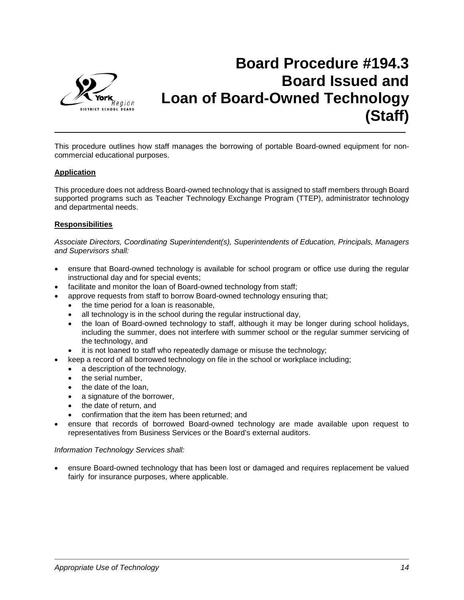

# **Board Procedure #194.3 Board Issued and Loan of Board-Owned Technology (Staff)**

This procedure outlines how staff manages the borrowing of portable Board-owned equipment for noncommercial educational purposes.

# **Application**

This procedure does not address Board-owned technology that is assigned to staff members through Board supported programs such as Teacher Technology Exchange Program (TTEP), administrator technology and departmental needs.

# **Responsibilities**

*Associate Directors, Coordinating Superintendent(s), Superintendents of Education, Principals, Managers and Supervisors shall:*

- ensure that Board-owned technology is available for school program or office use during the regular instructional day and for special events;
- facilitate and monitor the loan of Board-owned technology from staff;
- approve requests from staff to borrow Board-owned technology ensuring that;
	- the time period for a loan is reasonable,
	- all technology is in the school during the regular instructional day,
	- the loan of Board-owned technology to staff, although it may be longer during school holidays, including the summer, does not interfere with summer school or the regular summer servicing of the technology, and
	- it is not loaned to staff who repeatedly damage or misuse the technology;
	- keep a record of all borrowed technology on file in the school or workplace including;
	- a description of the technology,
	- the serial number,
	- the date of the loan.
	- a signature of the borrower,
	- the date of return, and
	- confirmation that the item has been returned; and
- ensure that records of borrowed Board-owned technology are made available upon request to representatives from Business Services or the Board's external auditors.

#### *Information Technology Services shall:*

• ensure Board-owned technology that has been lost or damaged and requires replacement be valued fairly for insurance purposes, where applicable.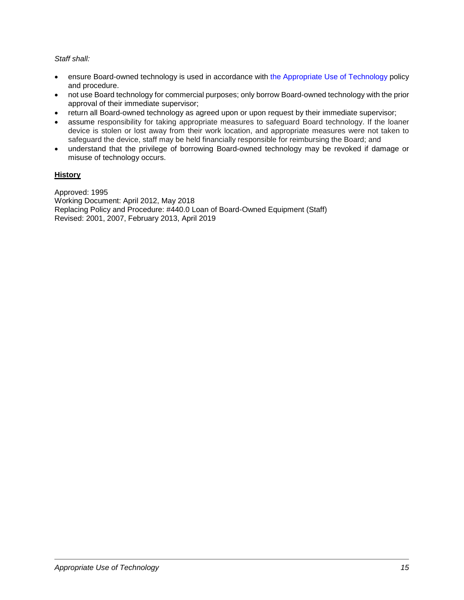# *Staff shall:*

- ensure Board-owned technology is used in accordance with the Appropriate Use of Technology policy and procedure.
- not use Board technology for commercial purposes; only borrow Board-owned technology with the prior approval of their immediate supervisor;
- return all Board-owned technology as agreed upon or upon request by their immediate supervisor;
- assume responsibility for taking appropriate measures to safeguard Board technology. If the loaner device is stolen or lost away from their work location, and appropriate measures were not taken to safeguard the device, staff may be held financially responsible for reimbursing the Board; and
- understand that the privilege of borrowing Board-owned technology may be revoked if damage or misuse of technology occurs.

# **History**

Approved: 1995 Working Document: April 2012, May 2018 Replacing Policy and Procedure: #440.0 Loan of Board-Owned Equipment (Staff) Revised: 2001, 2007, February 2013, April 2019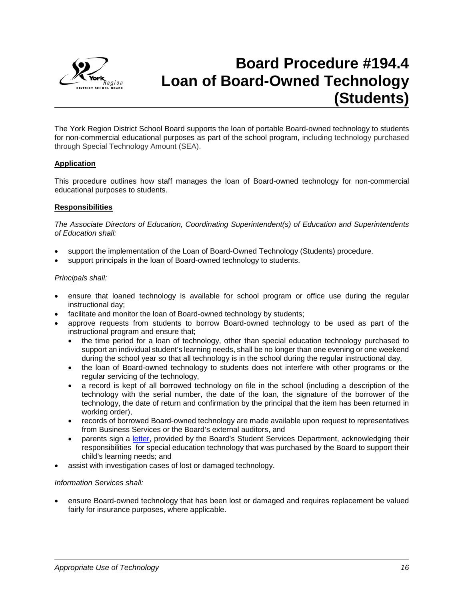

# **Board Procedure #194.4 Loan of Board-Owned Technology (Students)**

The York Region District School Board supports the loan of portable Board-owned technology to students for non-commercial educational purposes as part of the school program, including technology purchased through Special Technology Amount (SEA).

# **Application**

This procedure outlines how staff manages the loan of Board-owned technology for non-commercial educational purposes to students.

#### **Responsibilities**

*The Associate Directors of Education, Coordinating Superintendent(s) of Education and Superintendents of Education shall:*

- support the implementation of the Loan of Board-Owned Technology (Students) procedure.
- support principals in the loan of Board-owned technology to students.

#### *Principals shall:*

- ensure that loaned technology is available for school program or office use during the regular instructional day;
- facilitate and monitor the loan of Board-owned technology by students;
- approve requests from students to borrow Board-owned technology to be used as part of the instructional program and ensure that;
	- the time period for a loan of technology, other than special education technology purchased to support an individual student's learning needs, shall be no longer than one evening or one weekend during the school year so that all technology is in the school during the regular instructional day,
	- the loan of Board-owned technology to students does not interfere with other programs or the regular servicing of the technology,
	- a record is kept of all borrowed technology on file in the school (including a description of the technology with the serial number, the date of the loan, the signature of the borrower of the technology, the date of return and confirmation by the principal that the item has been returned in working order),
	- records of borrowed Board-owned technology are made available upon request to representatives from Business Services or the Board's external auditors, and
	- parents sign a [letter,](https://bww.yrdsb.ca/services/student/sea/Documents/SEA%20Equipment%20Loan%20Letter.pdf) provided by the Board's Student Services Department, acknowledging their responsibilities for special education technology that was purchased by the Board to support their child's learning needs; and
- assist with investigation cases of lost or damaged technology.

#### *Information Services shall:*

• ensure Board-owned technology that has been lost or damaged and requires replacement be valued fairly for insurance purposes, where applicable.